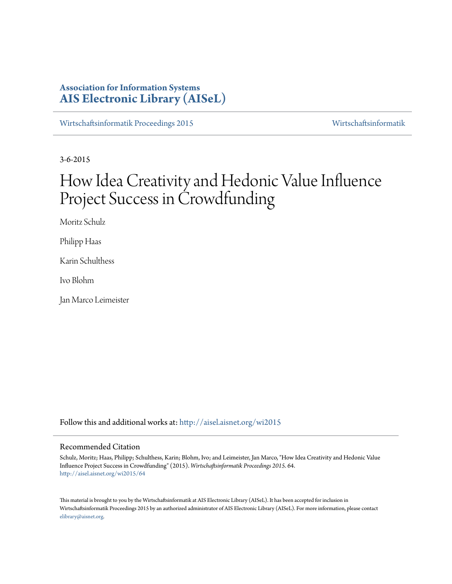# **Association for Information Systems [AIS Electronic Library \(AISeL\)](http://aisel.aisnet.org?utm_source=aisel.aisnet.org%2Fwi2015%2F64&utm_medium=PDF&utm_campaign=PDFCoverPages)**

[Wirtschaftsinformatik Proceedings 2015](http://aisel.aisnet.org/wi2015?utm_source=aisel.aisnet.org%2Fwi2015%2F64&utm_medium=PDF&utm_campaign=PDFCoverPages) [Wirtschaftsinformatik](http://aisel.aisnet.org/wi?utm_source=aisel.aisnet.org%2Fwi2015%2F64&utm_medium=PDF&utm_campaign=PDFCoverPages)

3-6-2015

# How Idea Creativity and Hedonic Value Influence Project Success in Crowdfunding

Moritz Schulz

Philipp Haas

Karin Schulthess

Ivo Blohm

Jan Marco Leimeister

Follow this and additional works at: [http://aisel.aisnet.org/wi2015](http://aisel.aisnet.org/wi2015?utm_source=aisel.aisnet.org%2Fwi2015%2F64&utm_medium=PDF&utm_campaign=PDFCoverPages)

#### Recommended Citation

Schulz, Moritz; Haas, Philipp; Schulthess, Karin; Blohm, Ivo; and Leimeister, Jan Marco, "How Idea Creativity and Hedonic Value Influence Project Success in Crowdfunding" (2015). *Wirtschaftsinformatik Proceedings 2015*. 64. [http://aisel.aisnet.org/wi2015/64](http://aisel.aisnet.org/wi2015/64?utm_source=aisel.aisnet.org%2Fwi2015%2F64&utm_medium=PDF&utm_campaign=PDFCoverPages)

This material is brought to you by the Wirtschaftsinformatik at AIS Electronic Library (AISeL). It has been accepted for inclusion in Wirtschaftsinformatik Proceedings 2015 by an authorized administrator of AIS Electronic Library (AISeL). For more information, please contact [elibrary@aisnet.org.](mailto:elibrary@aisnet.org%3E)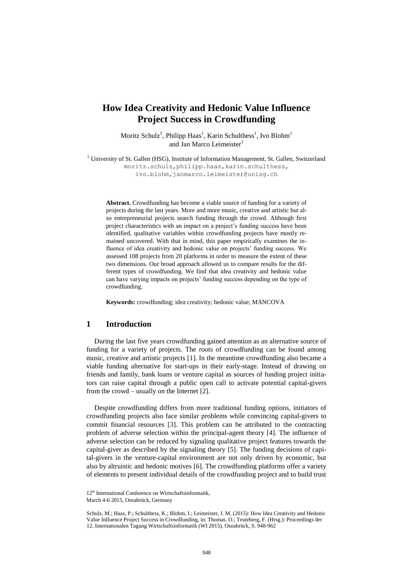# **How Idea Creativity and Hedonic Value Influence Project Success in Crowdfunding**

Moritz Schulz<sup>1</sup>, Philipp Haas<sup>1</sup>, Karin Schulthess<sup>1</sup>, Ivo Blohm<sup>1</sup> and Jan Marco Leimeister<sup>1</sup>

<sup>1</sup> University of St. Gallen (HSG), Institute of Information Management, St. Gallen, Switzerland moritz.schulz, philipp.haas, karin.schulthess, ivo.blohm,janmarco.leimeister@unisg.ch

**Abstract.** Crowdfunding has become a viable source of funding for a variety of projects during the last years. More and more music, creative and artistic but also entrepreneurial projects search funding through the crowd. Although first project characteristics with an impact on a project's funding success have been identified, qualitative variables within crowdfunding projects have mostly remained uncovered. With that in mind, this paper empirically examines the influence of idea creativity and hedonic value on projects' funding success. We assessed 108 projects from 20 platforms in order to measure the extent of these two dimensions. Our broad approach allowed us to compare results for the different types of crowdfunding. We find that idea creativity and hedonic value can have varying impacts on projects' funding success depending on the type of crowdfunding.

**Keywords:** crowdfunding; idea creativity; hedonic value; MANCOVA

### **1 Introduction**

During the last five years crowdfunding gained attention as an alternative source of funding for a variety of projects. The roots of crowdfunding can be found among music, creative and artistic projects [1]. In the meantime crowdfunding also became a viable funding alternative for start-ups in their early-stage. Instead of drawing on friends and family, bank loans or venture capital as sources of funding project initiators can raise capital through a public open call to activate potential capital-givers from the crowd – usually on the Internet [2].

Despite crowdfunding differs from more traditional funding options, initiators of crowdfunding projects also face similar problems while convincing capital-givers to commit financial resources [3]. This problem can be attributed to the contracting problem of adverse selection within the principal-agent theory [4]. The influence of adverse selection can be reduced by signaling qualitative project features towards the capital-giver as described by the signaling theory [5]. The funding decisions of capital-givers in the venture-capital environment are not only driven by economic, but also by altruistic and hedonic motives [6]. The crowdfunding platforms offer a variety of elements to present individual details of the crowdfunding project and to build trust

<sup>12&</sup>lt;sup>th</sup> International Conference on Wirtschaftsinformatik,

March 4-6 2015, Osnabrück, Germany

Schulz, M.; Haas, P.; Schulthess, K.; Blohm, I.; Leimeister, J. M. (2015): How Idea Creativity and Hedonic Value Influence Project Success in Crowdfunding, in: Thomas. O.; Teuteberg, F. (Hrsg.): Proceedings der 12. Internationalen Tagung Wirtschaftsinformatik (WI 2015), Osnabrück, S. 948-962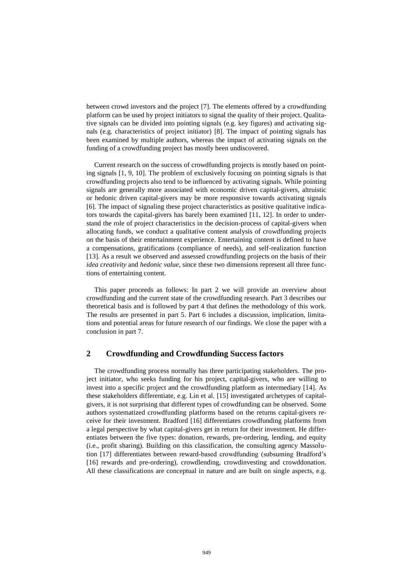between crowd investors and the project [7]. The elements offered by a crowdfunding platform can be used by project initiators to signal the quality of their project. Qualitative signals can be divided into pointing signals (e.g. key figures) and activating signals (e.g. characteristics of project initiator) [8]. The impact of pointing signals has been examined by multiple authors, whereas the impact of activating signals on the funding of a crowdfunding project has mostly been undiscovered.

Current research on the success of crowdfunding projects is mostly based on pointing signals [1, 9, 10]. The problem of exclusively focusing on pointing signals is that crowdfunding projects also tend to be influenced by activating signals. While pointing signals are generally more associated with economic driven capital-givers, altruistic or hedonic driven capital-givers may be more responsive towards activating signals [6]. The impact of signaling these project characteristics as positive qualitative indicators towards the capital-givers has barely been examined [11, 12]. In order to understand the role of project characteristics in the decision-process of capital-givers when allocating funds, we conduct a qualitative content analysis of crowdfunding projects on the basis of their entertainment experience. Entertaining content is defined to have a compensations, gratifications (compliance of needs), and self-realization function [13]. As a result we observed and assessed crowdfunding projects on the basis of their *idea creativity* and *hedonic value*, since these two dimensions represent all three functions of entertaining content.

This paper proceeds as follows: In part 2 we will provide an overview about crowdfunding and the current state of the crowdfunding research. Part 3 describes our theoretical basis and is followed by part 4 that defines the methodology of this work. The results are presented in part 5. Part 6 includes a discussion, implication, limitations and potential areas for future research of our findings. We close the paper with a conclusion in part 7.

# **2 Crowdfunding and Crowdfunding Success factors**

The crowdfunding process normally has three participating stakeholders. The project initiator, who seeks funding for his project, capital-givers, who are willing to invest into a specific project and the crowdfunding platform as intermediary [14]. As these stakeholders differentiate, e.g. Lin et al. [15] investigated archetypes of capitalgivers, it is not surprising that different types of crowdfunding can be observed. Some authors systematized crowdfunding platforms based on the returns capital-givers receive for their investment. Bradford [16] differentiates crowdfunding platforms from a legal perspective by what capital-givers get in return for their investment. He differentiates between the five types: donation, rewards, pre-ordering, lending, and equity (i.e., profit sharing). Building on this classification, the consulting agency Massolution [17] differentiates between reward-based crowdfunding (subsuming Bradford's [16] rewards and pre-ordering), crowdlending, crowdinvesting and crowddonation. All these classifications are conceptual in nature and are built on single aspects, e.g.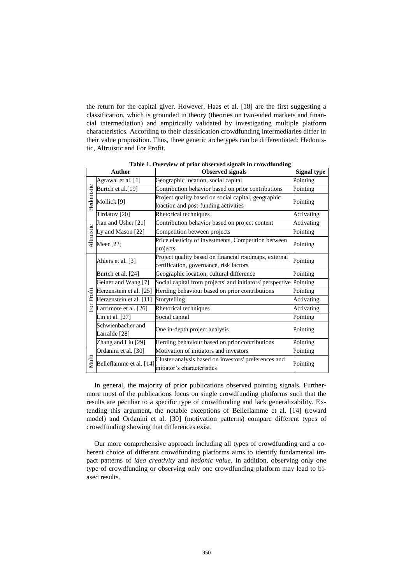the return for the capital giver. However, Haas et al. [18] are the first suggesting a classification, which is grounded in theory (theories on two-sided markets and financial intermediation) and empirically validated by investigating multiple platform characteristics. According to their classification crowdfunding intermediaries differ in their value proposition. Thus, three generic archetypes can be differentiated: Hedonistic, Altruistic and For Profit.

<span id="page-3-0"></span>

|            | <b>Author</b>            | <b>Observed signals</b>                                   | <b>Signal type</b> |  |
|------------|--------------------------|-----------------------------------------------------------|--------------------|--|
| Hedonistic | Agrawal et al. [1]       | Geographic location, social capital                       | Pointing           |  |
|            | Burtch et al.[19]        | Contribution behavior based on prior contributions        | Pointing           |  |
|            | Mollick [9]              | Project quality based on social capital, geographic       | Pointing           |  |
|            |                          | loaction and post-funding activities                      |                    |  |
|            | Tirdatov <sup>[20]</sup> | Rhetorical techniques                                     | Activating         |  |
| Altruistic | Jian and Usher [21]      | Contribution behavior based on project content            | Activating         |  |
|            | Ly and Mason [22]        | Competition between projects                              | Pointing           |  |
|            | Meer [23]                | Price elasticity of investments, Competition between      | Pointing           |  |
|            |                          | projects                                                  |                    |  |
|            | Ahlers et al. [3]        | Project quality based on financial roadmaps, external     | Pointing           |  |
|            |                          | certification, governance, risk factors                   |                    |  |
|            | Burtch et al. [24]       | Geographic location, cultural difference                  | Pointing           |  |
|            | Geiner and Wang [7]      | Social capital from projects' and initiators' perspective | Pointing           |  |
|            | Herzenstein et al. [25]  | Herding behaviour based on prior contributions            | Pointing           |  |
| For Profit | Herzenstein et al. [11]  | Storytelling                                              | Activating         |  |
|            | Larrimore et al. [26]    | Rhetorical techniques                                     | Activating         |  |
|            | Lin et al. [27]          | Social capital                                            | Pointing           |  |
|            | Schwienbacher and        | One in-depth project analysis                             | Pointing           |  |
|            | Larralde <sup>[28]</sup> |                                                           |                    |  |
|            | Zhang and Liu [29]       | Herding behaviour based on prior contributions            | Pointing           |  |
|            | Ordanini et al. [30]     | Motivation of initiators and investors                    | Pointing           |  |
| Multi      | Belleflamme et al. [14]  | Cluster analysis based on investors' preferences and      | Pointing           |  |
|            |                          | initiator's characteristics                               |                    |  |

**Table 1. Overview of prior observed signals in crowdfunding**

In general, the majority of prior publications observed pointing signals. Furthermore most of the publications focus on single crowdfunding platforms such that the results are peculiar to a specific type of crowdfunding and lack generalizability. Extending this argument, the notable exceptions of Belleflamme et al. [14] (reward model) and Ordanini et al. [30] (motivation patterns) compare different types of crowdfunding showing that differences exist.

Our more comprehensive approach including all types of crowdfunding and a coherent choice of different crowdfunding platforms aims to identify fundamental impact patterns of *idea creativity* and *hedonic value*. In addition, observing only one type of crowdfunding or observing only one crowdfunding platform may lead to biased results.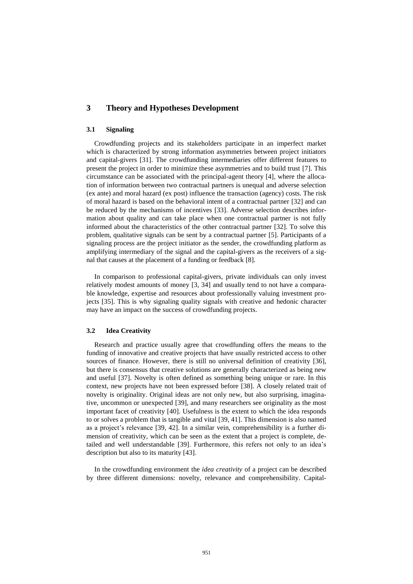# **3 Theory and Hypotheses Development**

#### **3.1 Signaling**

Crowdfunding projects and its stakeholders participate in an imperfect market which is characterized by strong information asymmetries between project initiators and capital-givers [31]. The crowdfunding intermediaries offer different features to present the project in order to minimize these asymmetries and to build trust [7]. This circumstance can be associated with the principal-agent theory [4], where the allocation of information between two contractual partners is unequal and adverse selection (ex ante) and moral hazard (ex post) influence the transaction (agency) costs. The risk of moral hazard is based on the behavioral intent of a contractual partner [32] and can be reduced by the mechanisms of incentives [33]. Adverse selection describes information about quality and can take place when one contractual partner is not fully informed about the characteristics of the other contractual partner [32]. To solve this problem, qualitative signals can be sent by a contractual partner [5]. Participants of a signaling process are the project initiator as the sender, the crowdfunding platform as amplifying intermediary of the signal and the capital-givers as the receivers of a signal that causes at the placement of a funding or feedback [8].

In comparison to professional capital-givers, private individuals can only invest relatively modest amounts of money [3, 34] and usually tend to not have a comparable knowledge, expertise and resources about professionally valuing investment projects [35]. This is why signaling quality signals with creative and hedonic character may have an impact on the success of crowdfunding projects.

#### **3.2 Idea Creativity**

Research and practice usually agree that crowdfunding offers the means to the funding of innovative and creative projects that have usually restricted access to other sources of finance. However, there is still no universal definition of creativity [36], but there is consensus that creative solutions are generally characterized as being new and useful [37]. Novelty is often defined as something being unique or rare. In this context, new projects have not been expressed before [38]. A closely related trait of novelty is originality. Original ideas are not only new, but also surprising, imaginative, uncommon or unexpected [39], and many researchers see originality as the most important facet of creativity [40]. Usefulness is the extent to which the idea responds to or solves a problem that is tangible and vital [39, 41]. This dimension is also named as a project's relevance [39, 42]. In a similar vein, comprehensibility is a further dimension of creativity, which can be seen as the extent that a project is complete, detailed and well understandable [39]. Furthermore, this refers not only to an idea's description but also to its maturity [43].

In the crowdfunding environment the *idea creativity* of a project can be described by three different dimensions: novelty, relevance and comprehensibility. Capital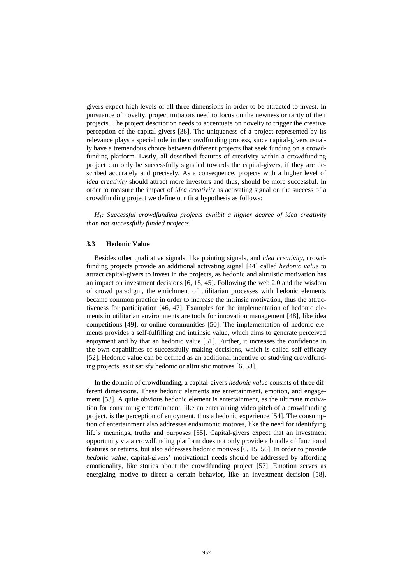givers expect high levels of all three dimensions in order to be attracted to invest. In pursuance of novelty, project initiators need to focus on the newness or rarity of their projects. The project description needs to accentuate on novelty to trigger the creative perception of the capital-givers [38]. The uniqueness of a project represented by its relevance plays a special role in the crowdfunding process, since capital-givers usually have a tremendous choice between different projects that seek funding on a crowdfunding platform. Lastly, all described features of creativity within a crowdfunding project can only be successfully signaled towards the capital-givers, if they are described accurately and precisely. As a consequence, projects with a higher level of *idea creativity* should attract more investors and thus, should be more successful. In order to measure the impact of *idea creativity* as activating signal on the success of a crowdfunding project we define our first hypothesis as follows:

*H1: Successful crowdfunding projects exhibit a higher degree of idea creativity than not successfully funded projects.*

#### **3.3 Hedonic Value**

Besides other qualitative signals, like pointing signals, and *idea creativity*, crowdfunding projects provide an additional activating signal [44] called *hedonic value* to attract capital-givers to invest in the projects, as hedonic and altruistic motivation has an impact on investment decisions [6, 15, 45]. Following the web 2.0 and the wisdom of crowd paradigm, the enrichment of utilitarian processes with hedonic elements became common practice in order to increase the intrinsic motivation, thus the attractiveness for participation [46, 47]. Examples for the implementation of hedonic elements in utilitarian environments are tools for innovation management [48], like idea competitions [49], or online communities [50]. The implementation of hedonic elements provides a self-fulfilling and intrinsic value, which aims to generate perceived enjoyment and by that an hedonic value [51]. Further, it increases the confidence in the own capabilities of successfully making decisions, which is called self-efficacy [52]. Hedonic value can be defined as an additional incentive of studying crowdfunding projects, as it satisfy hedonic or altruistic motives [6, 53].

In the domain of crowdfunding, a capital-givers *hedonic value* consists of three different dimensions. These hedonic elements are entertainment, emotion, and engagement [53]. A quite obvious hedonic element is entertainment, as the ultimate motivation for consuming entertainment, like an entertaining video pitch of a crowdfunding project, is the perception of enjoyment, thus a hedonic experience [54]. The consumption of entertainment also addresses eudaimonic motives, like the need for identifying life's meanings, truths and purposes [55]. Capital-givers expect that an investment opportunity via a crowdfunding platform does not only provide a bundle of functional features or returns, but also addresses hedonic motives [6, 15, 56]. In order to provide *hedonic value*, capital-givers' motivational needs should be addressed by affording emotionality, like stories about the crowdfunding project [57]. Emotion serves as energizing motive to direct a certain behavior, like an investment decision [58].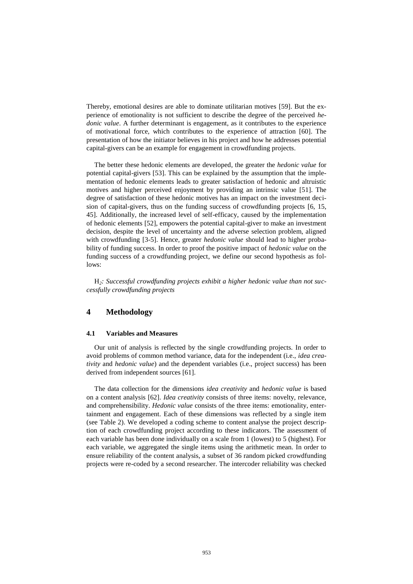Thereby, emotional desires are able to dominate utilitarian motives [59]. But the experience of emotionality is not sufficient to describe the degree of the perceived *hedonic value*. A further determinant is engagement, as it contributes to the experience of motivational force, which contributes to the experience of attraction [60]. The presentation of how the initiator believes in his project and how he addresses potential capital-givers can be an example for engagement in crowdfunding projects.

The better these hedonic elements are developed, the greater the *hedonic value* for potential capital-givers [53]. This can be explained by the assumption that the implementation of hedonic elements leads to greater satisfaction of hedonic and altruistic motives and higher perceived enjoyment by providing an intrinsic value [51]. The degree of satisfaction of these hedonic motives has an impact on the investment decision of capital-givers, thus on the funding success of crowdfunding projects [6, 15, 45]. Additionally, the increased level of self-efficacy, caused by the implementation of hedonic elements [52], empowers the potential capital-giver to make an investment decision, despite the level of uncertainty and the adverse selection problem, aligned with crowdfunding [3-5]. Hence, greater *hedonic value* should lead to higher probability of funding success. In order to proof the positive impact of *hedonic value* on the funding success of a crowdfunding project, we define our second hypothesis as follows:

H*2: Successful crowdfunding projects exhibit a higher hedonic value than not successfully crowdfunding projects*

# **4 Methodology**

#### **4.1 Variables and Measures**

Our unit of analysis is reflected by the single crowdfunding projects. In order to avoid problems of common method variance, data for the independent (i.e., *idea creativity* and *hedonic value*) and the dependent variables (i.e., project success) has been derived from independent sources [61].

The data collection for the dimensions *idea creativity* and *hedonic value* is based on a content analysis [62]. *Idea creativity* consists of three items: novelty, relevance, and comprehensibility. *Hedonic value* consists of the three items: emotionality, entertainment and engagement. Each of these dimensions was reflected by a single item (see [Table 2\)](#page-7-0). We developed a coding scheme to content analyse the project description of each crowdfunding project according to these indicators. The assessment of each variable has been done individually on a scale from 1 (lowest) to 5 (highest). For each variable, we aggregated the single items using the arithmetic mean. In order to ensure reliability of the content analysis, a subset of 36 random picked crowdfunding projects were re-coded by a second researcher. The intercoder reliability was checked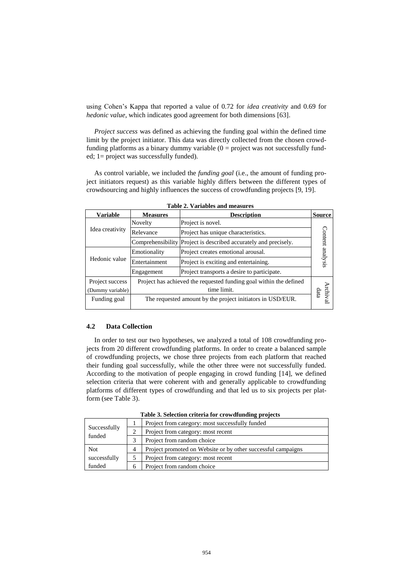using Cohen's Kappa that reported a value of 0.72 for *idea creativity* and 0.69 for *hedonic value*, which indicates good agreement for both dimensions [63].

*Project success* was defined as achieving the funding goal within the defined time limit by the project initiator. This data was directly collected from the chosen crowdfunding platforms as a binary dummy variable  $(0 = project$  was not successfully funded; 1= project was successfully funded).

As control variable, we included the *funding goal* (i.e., the amount of funding project initiators request) as this variable highly differs between the different types of crowdsourcing and highly influences the success of crowdfunding projects [9, 19].

<span id="page-7-0"></span>

| <b>Variable</b>  | <b>Measures</b>                                                    | <b>Description</b>                                         | <b>Source</b>   |
|------------------|--------------------------------------------------------------------|------------------------------------------------------------|-----------------|
|                  | Novelty                                                            | Project is novel.                                          |                 |
| Idea creativity  | Relevance                                                          | Project has unique characteristics.                        | Content         |
|                  | Comprehensibility                                                  | Project is described accurately and precisely.             |                 |
|                  | Emotionality                                                       | Project creates emotional arousal.                         |                 |
| Hedonic value    | Entertainment                                                      | Project is exciting and entertaining.                      | analysis        |
|                  | Engagement                                                         | Project transports a desire to participate.                |                 |
| Project success  | Project has achieved the requested funding goal within the defined |                                                            |                 |
| (Dummy variable) | time limit.                                                        |                                                            |                 |
| Funding goal     |                                                                    | The requested amount by the project initiators in USD/EUR. | rchival<br>data |

**Table 2. Variables and measures**

#### **4.2 Data Collection**

In order to test our two hypotheses, we analyzed a total of 108 crowdfunding projects from 20 different crowdfunding platforms. In order to create a balanced sample of crowdfunding projects, we chose three projects from each platform that reached their funding goal successfully, while the other three were not successfully funded. According to the motivation of people engaging in crowd funding [14], we defined selection criteria that were coherent with and generally applicable to crowdfunding platforms of different types of crowdfunding and that led us to six projects per platform (see [Table 3\)](#page-7-1).

<span id="page-7-1"></span>

|                        |               | Project from category: most successfully funded              |  |  |
|------------------------|---------------|--------------------------------------------------------------|--|--|
| Successfully<br>funded | $\mathcal{D}$ | Project from category: most recent                           |  |  |
|                        | 3             | Project from random choice                                   |  |  |
| <b>Not</b>             | 4             | Project promoted on Website or by other successful campaigns |  |  |
| successfully           |               | Project from category: most recent                           |  |  |
| funded                 | 6             | Project from random choice                                   |  |  |

**Table 3. Selection criteria for crowdfunding projects**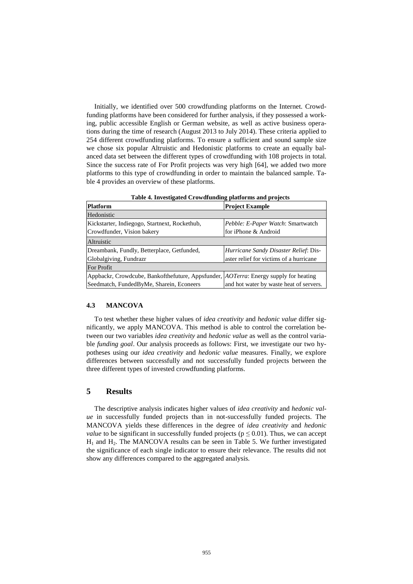Initially, we identified over 500 crowdfunding platforms on the Internet. Crowdfunding platforms have been considered for further analysis, if they possessed a working, public accessible English or German website, as well as active business operations during the time of research (August 2013 to July 2014). These criteria applied to 254 different crowdfunding platforms. To ensure a sufficient and sound sample size we chose six popular Altruistic and Hedonistic platforms to create an equally balanced data set between the different types of crowdfunding with 108 projects in total. Since the success rate of For Profit projects was very high [64], we added two more platforms to this type of crowdfunding in order to maintain the balanced sample. [Ta](#page-8-0)[ble 4](#page-8-0) provides an overview of these platforms.

<span id="page-8-0"></span>

| <b>Table 4.</b> Hivestigated Crowdrumunig platforms and projects                             |                                          |  |  |  |  |  |
|----------------------------------------------------------------------------------------------|------------------------------------------|--|--|--|--|--|
| Platform                                                                                     | <b>Project Example</b>                   |  |  |  |  |  |
| Hedonistic                                                                                   |                                          |  |  |  |  |  |
| Kickstarter, Indiegogo, Startnext, Rockethub,                                                | <i>Pebble: E-Paper Watch: Smartwatch</i> |  |  |  |  |  |
| Crowdfunder, Vision bakery                                                                   | for iPhone & Android                     |  |  |  |  |  |
| Altruistic                                                                                   |                                          |  |  |  |  |  |
| Dreambank, Fundly, Betterplace, Getfunded,                                                   | Hurricane Sandy Disaster Relief: Dis-    |  |  |  |  |  |
| Globalgiving, Fundrazr                                                                       | aster relief for victims of a hurricane  |  |  |  |  |  |
| For Profit                                                                                   |                                          |  |  |  |  |  |
| Appbackr, Crowdcube, Bankofthefuture, Appsfunder, <i>AOTerra</i> : Energy supply for heating |                                          |  |  |  |  |  |
| Seedmatch, FundedByMe, Sharein, Econeers                                                     | and hot water by waste heat of servers.  |  |  |  |  |  |

**Table 4. Investigated Crowdfunding platforms and projects**

#### **4.3 MANCOVA**

To test whether these higher values of *idea creativity* and *hedonic value* differ significantly, we apply MANCOVA. This method is able to control the correlation between our two variables *idea creativity* and *hedonic value* as well as the control variable *funding goal*. Our analysis proceeds as follows: First, we investigate our two hypotheses using our *idea creativity* and *hedonic value* measures. Finally, we explore differences between successfully and not successfully funded projects between the three different types of invested crowdfunding platforms.

#### **5 Results**

The descriptive analysis indicates higher values of *idea creativity* and *hedonic value* in successfully funded projects than in not-successfully funded projects. The MANCOVA yields these differences in the degree of *idea creativity* and *hedonic value* to be significant in successfully funded projects ( $p \le 0.01$ ). Thus, we can accept  $H<sub>1</sub>$  and  $H<sub>2</sub>$ . The MANCOVA results can be seen in [Table 5.](#page-9-0) We further investigated the significance of each single indicator to ensure their relevance. The results did not show any differences compared to the aggregated analysis.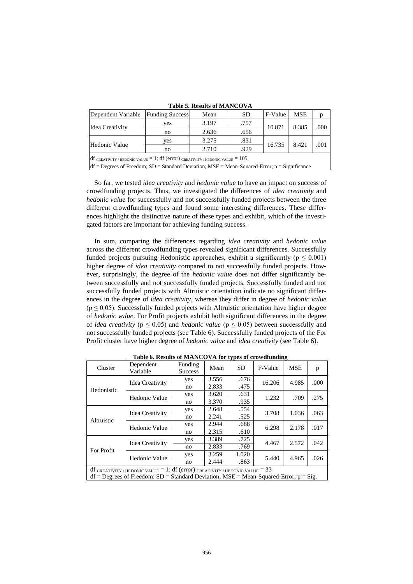<span id="page-9-0"></span>

| Dependent Variable                                                           | <b>Funding Success</b> | Mean                    | <b>SD</b> | F-Value | <b>MSE</b>     |      |  |
|------------------------------------------------------------------------------|------------------------|-------------------------|-----------|---------|----------------|------|--|
|                                                                              | ves                    | 3.197                   | .757      |         | 8.385<br>8.421 | .000 |  |
| Idea Creativity                                                              | no                     | 10.871<br>.656<br>2.636 |           |         |                |      |  |
|                                                                              | yes                    | 3.275                   | .831      |         |                |      |  |
| Hedonic Value<br>.929<br>2.710<br>no                                         |                        |                         | 16.735    |         | .001           |      |  |
| $df$ creativity/hedonic value = 1; df (error) creativity/hedonic value = 105 |                        |                         |           |         |                |      |  |

**Table 5. Results of MANCOVA**

 $df =$  Degrees of Freedom; SD = Standard Deviation; MSE = Mean-Squared-Error; p = Significance

So far, we tested *idea creativity* and *hedonic value* to have an impact on success of crowdfunding projects. Thus, we investigated the differences of *idea creativity* and *hedonic value* for successfully and not successfully funded projects between the three different crowdfunding types and found some interesting differences. These differences highlight the distinctive nature of these types and exhibit, which of the investigated factors are important for achieving funding success.

In sum, comparing the differences regarding *idea creativity* and *hedonic value* across the different crowdfunding types revealed significant differences. Successfully funded projects pursuing Hedonistic approaches, exhibit a significantly ( $p \leq 0.001$ ) higher degree of *idea creativity* compared to not successfully funded projects. However, surprisingly, the degree of the *hedonic value* does not differ significantly between successfully and not successfully funded projects. Successfully funded and not successfully funded projects with Altruistic orientation indicate no significant differences in the degree of *idea creativity*, whereas they differ in degree of *hedonic value*  $(p \le 0.05)$ . Successfully funded projects with Altruistic orientation have higher degree of *hedonic value*. For Profit projects exhibit both significant differences in the degree of *idea creativity* ( $p \le 0.05$ ) and *hedonic value* ( $p \le 0.05$ ) between successfully and not successfully funded projects (see [Table 6\)](#page-9-1). Successfully funded projects of the For Profit cluster have higher degree of *hedonic value* and *idea creativity* (see [Table 6\)](#page-9-1).

<span id="page-9-1"></span>

| Cluster<br>Hedonistic<br>Altruistic                                                                                                                                         | Dependent       | Funding        | Mean  | <b>SD</b> | F-Value | <b>MSE</b> | p    |
|-----------------------------------------------------------------------------------------------------------------------------------------------------------------------------|-----------------|----------------|-------|-----------|---------|------------|------|
|                                                                                                                                                                             | Variable        | <b>Success</b> |       |           |         |            |      |
|                                                                                                                                                                             | Idea Creativity | ves            | 3.556 | .676      | 16.206  | 4.985      | .000 |
|                                                                                                                                                                             |                 | no             | 2.833 | .475      |         |            |      |
|                                                                                                                                                                             | Hedonic Value   | yes            | 3.620 | .631      | 1.232   | .709       | .275 |
|                                                                                                                                                                             |                 | no             | 3.370 | .935      |         |            |      |
|                                                                                                                                                                             |                 | yes            | 2.648 | .554      | 3.708   | 1.036      | .063 |
|                                                                                                                                                                             | Idea Creativity | no             | 2.241 | .525      |         |            |      |
|                                                                                                                                                                             | Hedonic Value   | yes            | 2.944 | .688      | 6.298   | 2.178      | .017 |
|                                                                                                                                                                             |                 | no             | 2.315 | .610      |         |            |      |
|                                                                                                                                                                             | Idea Creativity | yes            | 3.389 | .725      | 4.467   | 2.572      | .042 |
| For Profit                                                                                                                                                                  |                 | no             | 2.833 | .769      |         |            |      |
|                                                                                                                                                                             | Hedonic Value   | yes            | 3.259 | 1.020     | 5.440   | 4.965      | .026 |
|                                                                                                                                                                             |                 | no             | 2.444 | .863      |         |            |      |
| $df$ CREATIVITY / HEDONIC VALUE = 1; $df$ (error) CREATIVITY / HEDONIC VALUE = 33<br>$df =$ Degrees of Freedom; SD = Standard Deviation; MSE = Mean-Squared-Error; p = Sig. |                 |                |       |           |         |            |      |

**Table 6. Results of MANCOVA for types of crowdfunding**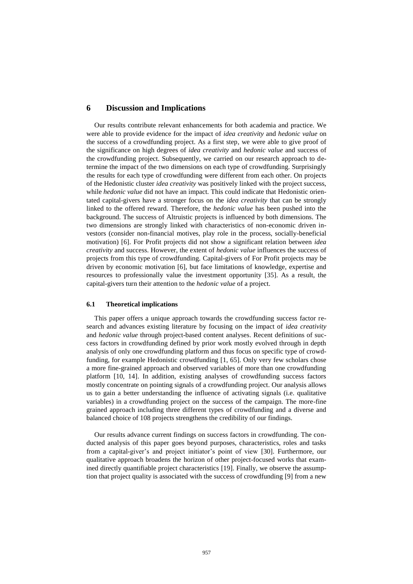## **6 Discussion and Implications**

Our results contribute relevant enhancements for both academia and practice. We were able to provide evidence for the impact of *idea creativity* and *hedonic value* on the success of a crowdfunding project. As a first step, we were able to give proof of the significance on high degrees of *idea creativity* and *hedonic value* and success of the crowdfunding project. Subsequently, we carried on our research approach to determine the impact of the two dimensions on each type of crowdfunding. Surprisingly the results for each type of crowdfunding were different from each other. On projects of the Hedonistic cluster *idea creativity* was positively linked with the project success, while *hedonic value* did not have an impact. This could indicate that Hedonistic orientated capital-givers have a stronger focus on the *idea creativity* that can be strongly linked to the offered reward. Therefore, the *hedonic value* has been pushed into the background. The success of Altruistic projects is influenced by both dimensions. The two dimensions are strongly linked with characteristics of non-economic driven investors (consider non-financial motives, play role in the process, socially-beneficial motivation) [6]. For Profit projects did not show a significant relation between *idea creativity* and success. However, the extent of *hedonic value* influences the success of projects from this type of crowdfunding. Capital-givers of For Profit projects may be driven by economic motivation [6], but face limitations of knowledge, expertise and resources to professionally value the investment opportunity [35]. As a result, the capital-givers turn their attention to the *hedonic value* of a project.

#### **6.1 Theoretical implications**

This paper offers a unique approach towards the crowdfunding success factor research and advances existing literature by focusing on the impact of *idea creativity* and *hedonic value* through project-based content analyses. Recent definitions of success factors in crowdfunding defined by prior work mostly evolved through in depth analysis of only one crowdfunding platform and thus focus on specific type of crowdfunding, for example Hedonistic crowdfunding [1, 65]. Only very few scholars chose a more fine-grained approach and observed variables of more than one crowdfunding platform [10, 14]. In addition, existing analyses of crowdfunding success factors mostly concentrate on pointing signals of a crowdfunding project. Our analysis allows us to gain a better understanding the influence of activating signals (i.e. qualitative variables) in a crowdfunding project on the success of the campaign. The more-fine grained approach including three different types of crowdfunding and a diverse and balanced choice of 108 projects strengthens the credibility of our findings.

Our results advance current findings on success factors in crowdfunding. The conducted analysis of this paper goes beyond purposes, characteristics, roles and tasks from a capital-giver's and project initiator's point of view [30]. Furthermore, our qualitative approach broadens the horizon of other project-focused works that examined directly quantifiable project characteristics [19]. Finally, we observe the assumption that project quality is associated with the success of crowdfunding [9] from a new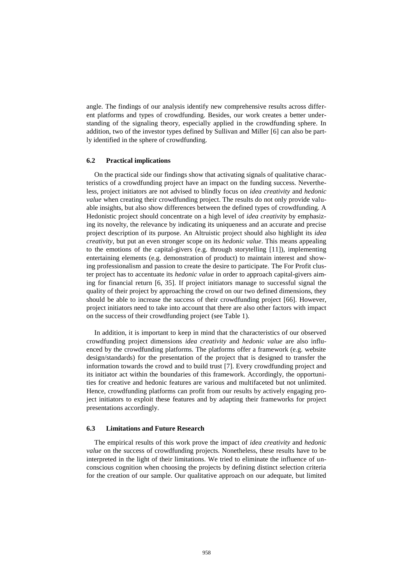angle. The findings of our analysis identify new comprehensive results across different platforms and types of crowdfunding. Besides, our work creates a better understanding of the signaling theory, especially applied in the crowdfunding sphere. In addition, two of the investor types defined by Sullivan and Miller [6] can also be partly identified in the sphere of crowdfunding.

#### **6.2 Practical implications**

On the practical side our findings show that activating signals of qualitative characteristics of a crowdfunding project have an impact on the funding success. Nevertheless, project initiators are not advised to blindly focus on *idea creativity* and *hedonic value* when creating their crowdfunding project. The results do not only provide valuable insights, but also show differences between the defined types of crowdfunding. A Hedonistic project should concentrate on a high level of *idea creativity* by emphasizing its novelty, the relevance by indicating its uniqueness and an accurate and precise project description of its purpose. An Altruistic project should also highlight its *idea creativity*, but put an even stronger scope on its *hedonic value*. This means appealing to the emotions of the capital-givers (e.g. through storytelling [11]), implementing entertaining elements (e.g. demonstration of product) to maintain interest and showing professionalism and passion to create the desire to participate. The For Profit cluster project has to accentuate its *hedonic value* in order to approach capital-givers aiming for financial return [6, 35]. If project initiators manage to successful signal the quality of their project by approaching the crowd on our two defined dimensions, they should be able to increase the success of their crowdfunding project [66]. However, project initiators need to take into account that there are also other factors with impact on the success of their crowdfunding project (se[e Table 1\)](#page-3-0).

In addition, it is important to keep in mind that the characteristics of our observed crowdfunding project dimensions *idea creativity* and *hedonic value* are also influenced by the crowdfunding platforms. The platforms offer a framework (e.g. website design/standards) for the presentation of the project that is designed to transfer the information towards the crowd and to build trust [7]. Every crowdfunding project and its initiator act within the boundaries of this framework. Accordingly, the opportunities for creative and hedonic features are various and multifaceted but not unlimited. Hence, crowdfunding platforms can profit from our results by actively engaging project initiators to exploit these features and by adapting their frameworks for project presentations accordingly.

#### **6.3 Limitations and Future Research**

The empirical results of this work prove the impact of *idea creativity* and *hedonic value* on the success of crowdfunding projects. Nonetheless, these results have to be interpreted in the light of their limitations. We tried to eliminate the influence of unconscious cognition when choosing the projects by defining distinct selection criteria for the creation of our sample. Our qualitative approach on our adequate, but limited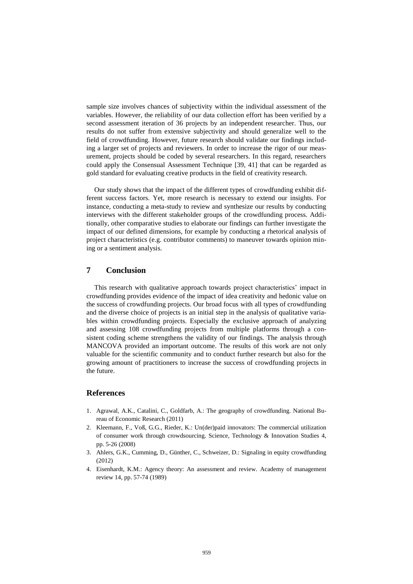sample size involves chances of subjectivity within the individual assessment of the variables. However, the reliability of our data collection effort has been verified by a second assessment iteration of 36 projects by an independent researcher. Thus, our results do not suffer from extensive subjectivity and should generalize well to the field of crowdfunding. However, future research should validate our findings including a larger set of projects and reviewers. In order to increase the rigor of our measurement, projects should be coded by several researchers. In this regard, researchers could apply the Consensual Assessment Technique [39, 41] that can be regarded as gold standard for evaluating creative products in the field of creativity research.

Our study shows that the impact of the different types of crowdfunding exhibit different success factors. Yet, more research is necessary to extend our insights. For instance, conducting a meta-study to review and synthesize our results by conducting interviews with the different stakeholder groups of the crowdfunding process. Additionally, other comparative studies to elaborate our findings can further investigate the impact of our defined dimensions, for example by conducting a rhetorical analysis of project characteristics (e.g. contributor comments) to maneuver towards opinion mining or a sentiment analysis.

# **7 Conclusion**

This research with qualitative approach towards project characteristics' impact in crowdfunding provides evidence of the impact of idea creativity and hedonic value on the success of crowdfunding projects. Our broad focus with all types of crowdfunding and the diverse choice of projects is an initial step in the analysis of qualitative variables within crowdfunding projects. Especially the exclusive approach of analyzing and assessing 108 crowdfunding projects from multiple platforms through a consistent coding scheme strengthens the validity of our findings. The analysis through MANCOVA provided an important outcome. The results of this work are not only valuable for the scientific community and to conduct further research but also for the growing amount of practitioners to increase the success of crowdfunding projects in the future.

#### **References**

- 1. Agrawal, A.K., Catalini, C., Goldfarb, A.: The geography of crowdfunding. National Bureau of Economic Research (2011)
- 2. Kleemann, F., Voß, G.G., Rieder, K.: Un(der)paid innovators: The commercial utilization of consumer work through crowdsourcing. Science, Technology & Innovation Studies 4, pp. 5-26 (2008)
- 3. Ahlers, G.K., Cumming, D., Günther, C., Schweizer, D.: Signaling in equity crowdfunding (2012)
- 4. Eisenhardt, K.M.: Agency theory: An assessment and review. Academy of management review 14, pp. 57-74 (1989)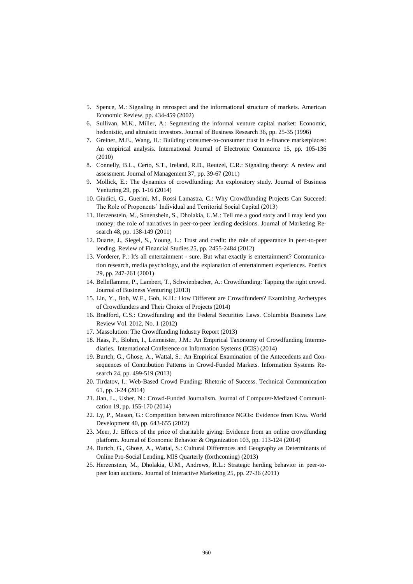- 5. Spence, M.: Signaling in retrospect and the informational structure of markets. American Economic Review, pp. 434-459 (2002)
- 6. Sullivan, M.K., Miller, A.: Segmenting the informal venture capital market: Economic, hedonistic, and altruistic investors. Journal of Business Research 36, pp. 25-35 (1996)
- 7. Greiner, M.E., Wang, H.: Building consumer-to-consumer trust in e-finance marketplaces: An empirical analysis. International Journal of Electronic Commerce 15, pp. 105-136 (2010)
- 8. Connelly, B.L., Certo, S.T., Ireland, R.D., Reutzel, C.R.: Signaling theory: A review and assessment. Journal of Management 37, pp. 39-67 (2011)
- 9. Mollick, E.: The dynamics of crowdfunding: An exploratory study. Journal of Business Venturing 29, pp. 1-16 (2014)
- 10. Giudici, G., Guerini, M., Rossi Lamastra, C.: Why Crowdfunding Projects Can Succeed: The Role of Proponents' Individual and Territorial Social Capital (2013)
- 11. Herzenstein, M., Sonenshein, S., Dholakia, U.M.: Tell me a good story and I may lend you money: the role of narratives in peer-to-peer lending decisions. Journal of Marketing Research 48, pp. 138-149 (2011)
- 12. Duarte, J., Siegel, S., Young, L.: Trust and credit: the role of appearance in peer-to-peer lending. Review of Financial Studies 25, pp. 2455-2484 (2012)
- 13. Vorderer, P.: It's all entertainment sure. But what exactly is entertainment? Communication research, media psychology, and the explanation of entertainment experiences. Poetics 29, pp. 247-261 (2001)
- 14. Belleflamme, P., Lambert, T., Schwienbacher, A.: Crowdfunding: Tapping the right crowd. Journal of Business Venturing (2013)
- 15. Lin, Y., Boh, W.F., Goh, K.H.: How Different are Crowdfunders? Examining Archetypes of Crowdfunders and Their Choice of Projects (2014)
- 16. Bradford, C.S.: Crowdfunding and the Federal Securities Laws. Columbia Business Law Review Vol. 2012, No. 1 (2012)
- 17. Massolution: The Crowdfunding Industry Report (2013)
- 18. Haas, P., Blohm, I., Leimeister, J.M.: An Empirical Taxonomy of Crowdfunding Intermediaries. International Conference on Information Systems (ICIS) (2014)
- 19. Burtch, G., Ghose, A., Wattal, S.: An Empirical Examination of the Antecedents and Consequences of Contribution Patterns in Crowd-Funded Markets. Information Systems Research 24, pp. 499-519 (2013)
- 20. Tirdatov, I.: Web-Based Crowd Funding: Rhetoric of Success. Technical Communication 61, pp. 3-24 (2014)
- 21. Jian, L., Usher, N.: Crowd‐Funded Journalism. Journal of Computer‐Mediated Communication 19, pp. 155-170 (2014)
- 22. Ly, P., Mason, G.: Competition between microfinance NGOs: Evidence from Kiva. World Development 40, pp. 643-655 (2012)
- 23. Meer, J.: Effects of the price of charitable giving: Evidence from an online crowdfunding platform. Journal of Economic Behavior & Organization 103, pp. 113-124 (2014)
- 24. Burtch, G., Ghose, A., Wattal, S.: Cultural Differences and Geography as Determinants of Online Pro-Social Lending. MIS Quarterly (forthcoming) (2013)
- 25. Herzenstein, M., Dholakia, U.M., Andrews, R.L.: Strategic herding behavior in peer-topeer loan auctions. Journal of Interactive Marketing 25, pp. 27-36 (2011)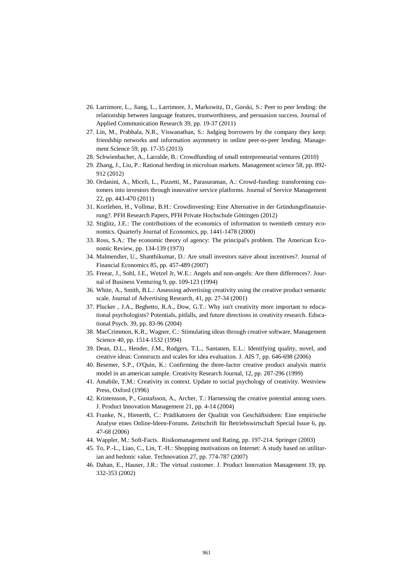- 26. Larrimore, L., Jiang, L., Larrimore, J., Markowitz, D., Gorski, S.: Peer to peer lending: the relationship between language features, trustworthiness, and persuasion success. Journal of Applied Communication Research 39, pp. 19-37 (2011)
- 27. Lin, M., Prabhala, N.R., Viswanathan, S.: Judging borrowers by the company they keep: friendship networks and information asymmetry in online peer-to-peer lending. Management Science 59, pp. 17-35 (2013)
- 28. Schwienbacher, A., Larralde, B.: Crowdfunding of small entrepreneurial ventures (2010)
- 29. Zhang, J., Liu, P.: Rational herding in microloan markets. Management science 58, pp. 892- 912 (2012)
- 30. Ordanini, A., Miceli, L., Pizzetti, M., Parasuraman, A.: Crowd-funding: transforming customers into investors through innovative service platforms. Journal of Service Management 22, pp. 443-470 (2011)
- 31. Kortleben, H., Vollmar, B.H.: Crowdinvesting: Eine Alternative in der Gründungsfinanzierung?. PFH Research Papers, PFH Private Hochschule Göttingen (2012)
- 32. Stiglitz, J.E.: The contributions of the economics of information to twentieth century economics. Quarterly Journal of Economics, pp. 1441-1478 (2000)
- 33. Ross, S.A.: The economic theory of agency: The principal's problem. The American Economic Review, pp. 134-139 (1973)
- 34. Malmendier, U., Shanthikumar, D.: Are small investors naive about incentives?. Journal of Financial Economics 85, pp. 457-489 (2007)
- 35. Freear, J., Sohl, J.E., Wetzel Jr, W.E.: Angels and non-angels: Are there differences?. Journal of Business Venturing 9, pp. 109-123 (1994)
- 36. White, A., Smith, B.L.: Assessing advertising creativity using the creative product semantic scale. Journal of Advertising Research, 41, pp. 27-34 (2001)
- 37. Plucker , J.A., Beghetto, R.A., Dow, G.T.: Why isn't creativity more important to educational psychologists? Potentials, pitfalls, and future directions in creativity research. Educational Psych. 39, pp. 83-96 (2004)
- 38. MacCrimmon, K.R., Wagner, C.: Stimulating ideas through creative software. Management Science 40, pp. 1514-1532 (1994)
- 39. Dean, D.L., Hender, J.M., Rodgers, T.L., Santanen, E.L.: Identifying quality, novel, and creative ideas: Constructs and scales for idea evaluation. J. AIS 7, pp. 646-698 (2006)
- 40. Besemer, S.P., O'Quin, K.: Confirming the three-factor creative product analysis matrix model in an american sample. Creativity Research Journal, 12, pp. 287-296 (1999)
- 41. Amabile, T.M.: Creativity in context. Update to social psychology of creativity. Westview Press, Oxford (1996)
- 42. Kristensson, P., Gustafsson, A., Archer, T.: Harnessing the creative potential among users. J. Product Innovation Management 21, pp. 4-14 (2004)
- 43. Franke, N., Hienerth, C.: Prädikatoren der Qualität von Geschäftsideen: Eine empirische Analyse eines Online-Ideen-Forums. Zeitschrift für Betriebswirtschaft Special Issue 6, pp. 47-68 (2006)
- 44. Wappler, M.: Soft-Facts. Risikomanagement und Rating, pp. 197-214. Springer (2003)
- 45. To, P.-L., Liao, C., Lin, T.-H.: Shopping motivations on Internet: A study based on utilitarian and hedonic value. Technovation 27, pp. 774-787 (2007)
- 46. Dahan, E., Hauser, J.R.: The virtual customer. J. Product Innovation Management 19, pp. 332-353 (2002)